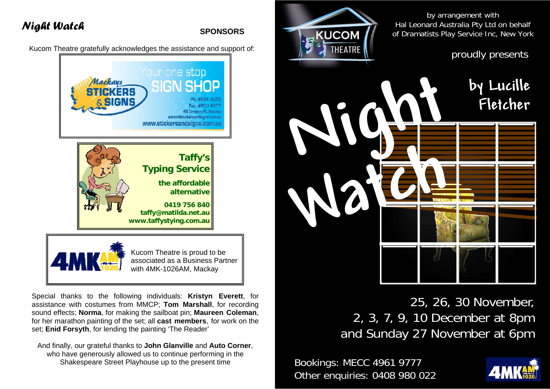

25, 26, 30 November, 2, 3, 7, 9, 10 December at 8pm and Sunday 27 November at 6pm

Bookings: MECC 4961 9777 Other enquiries: 0408 980 022



**SPONSORS** 

Kucom Theatre gratefully acknowledges the assistance and support of:



Special thanks to the following individuals: **Kristyn Everett**, for assistance with costumes from MMCP; **Tom Marshall**, for recording sound effects; **Norma**, for making the sailboat pin; **Maureen Coleman**, for her marathon painting of the set; all **cast members**, for work on the set; **Enid Forsyth**, for lending the painting 'The Reader'

And finally, our grateful thanks to **John Glanville** and **Auto Corner**, who have generously allowed us to continue performing in the Shakespeare Street Playhouse up to the present time

# *Night Watch*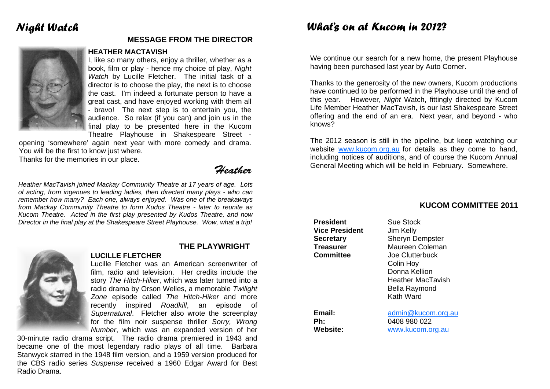# *Night Watch*

### **MESSAGE FROM THE DIRECTOR**

### **HEATHER MACTAVISH**

I, like so many others, enjoy a thriller, whether as a book, film or play - hence my choice of play, *Night Watch* by Lucille Fletcher. The initial task of a director is to choose the play, the next is to choose the cast. I'm indeed a fortunate person to have a great cast, and have enjoyed working with them all - bravo! The next step is to entertain you, the audience. So relax (if you can) and join us in the final play to be presented here in the Kucom Theatre Playhouse in Shakespeare Street -

opening 'somewhere' again next year with more comedy and drama. You will be the first to know just where.

Thanks for the memories in our place.

Heather

*Heather MacTavish joined Mackay Community Theatre at 17 years of age. Lots of acting, from ingenues to leading ladies, then directed many plays - who can remember how many? Each one, always enjoyed. Was one of the breakaways from Mackay Community Theatre to form Kudos Theatre - later to reunite as Kucom Theatre. Acted in the first play presented by Kudos Theatre, and now Director in the final play at the Shakespeare Street Playhouse. Wow, what a trip!* 

**LUCILLE FLETCHER** 



### **THE PLAYWRIGHT**

Lucille Fletcher was an American screenwriter of film, radio and television. Her credits include the story *The Hitch-Hiker*, which was later turned into a radio drama by Orson Welles, a memorable *Twilight Zone* episode called *The Hitch-Hiker* and more recently inspired *Roadkill*, an episode of *Supernatural*. Fletcher also wrote the screenplay for the film noir suspense thriller *Sorry, Wrong Number*, which was an expanded version of her

30-minute radio drama script. The radio drama premiered in 1943 and became one of the most legendary radio plays of all time. Barbara Stanwyck starred in the 1948 film version, and a 1959 version produced for the CBS radio series *Suspense* received a 1960 Edgar Award for Best Radio Drama.

## *What's on at Kucom in 2012?*

We continue our search for a new home, the present Playhouse having been purchased last year by Auto Corner.

Thanks to the generosity of the new owners, Kucom productions have continued to be performed in the Playhouse until the end of this year. However, *Night* Watch, fittingly directed by Kucom Life Member Heather MacTavish, is our last Shakespeare Street offering and the end of an era. Next year, and beyond - who knows?

The 2012 season is still in the pipeline, but keep watching our website www.kucom.org.au for details as they come to hand. including notices of auditions, and of course the Kucom Annual General Meeting which will be held in February. Somewhere.

## **President** Sue Stock **Vice President** Jim Kelly **Secretary** Sheryn Dempster **Treasurer** Maureen Coleman **Committee** Joe Clutterbuck Colin Hoy Donna Kellion Heather MacTavish Bella Raymond Kath Ward **Email:** admin@kucom.org.au **Ph:** 0408 980 022 **Website:** www.kucom.org.au

### **KUCOM COMMITTEE 2011**

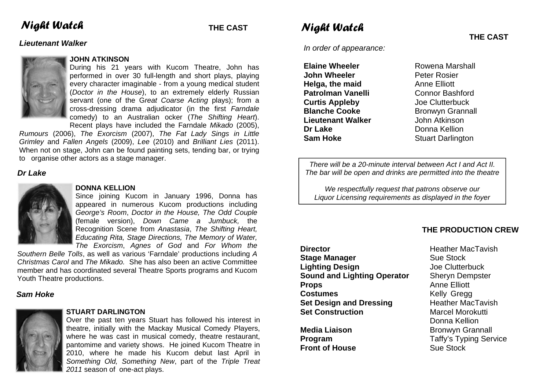# *Night Watch THE CAST*

### *Lieutenant Walker*



### **JOHN ATKINSON**

During his 21 years with Kucom Theatre, John has performed in over 30 full-length and short plays, playing every character imaginable - from a young medical student (*Doctor in the House*), to an extremely elderly Russian servant (one of the G*reat Coarse Acting* plays); from a cross-dressing drama adjudicator (in the first *Farndale*  comedy) to an Australian ocker (*The Shifting Heart*). Recent plays have included the Farndale *Mikado* (2005),

*Rumours* (2006), *The Exorcism* (2007), *The Fat Lady Sings in Little Grimley* and *Fallen Angels* (2009), *Lee* (2010) and *Brilliant Lies* (2011). When not on stage, John can be found painting sets, tending bar, or trying to organise other actors as a stage manager.

### *Dr Lake*



### **DONNA KELLION**

Since joining Kucom in January 1996, Donna has appeared in numerous Kucom productions including *George's Room*, *Doctor in the House, The Odd Couple* (female version), *Down Came a Jumbuck,* the Recognition Scene from *Anastasia*, *The Shifting Heart, Educating Rita, Stage Directions, The Memory of Water, The Exorcism*, *Agnes of God* and *For Whom the* 

*Southern Belle Tolls*, as well as various 'Farndale' productions including *A Christmas Carol* and *The Mikado.* She has also been an active Committee member and has coordinated several Theatre Sports programs and Kucom Youth Theatre productions.

### *Sam Hoke*



### **STUART DARLINGTON**

Over the past ten years Stuart has followed his interest in theatre, initially with the Mackay Musical Comedy Players, where he was cast in musical comedy, theatre restaurant, pantomime and variety shows. He joined Kucom Theatre in 2010, where he made his Kucom debut last April in *Something Old, Something New*, part of the *Triple Treat 2011* season of one-act plays.

# *Night Watch*

*In order of appearance:* 

**Elaine Wheeler**  Rowena Marshall **John Wheeler <b>Peter Rosier Helga, the maid Anne Elliott Patrolman Vanelli Connor Bashford Curtis Appleby Joe Clutterbuck Blanche Cooke Bronwyn Grannall Lieutenant Walker** John Atkinson **Dr Lake Donna Kellion Sam Hoke Stuart Darlington** 

*There will be a 20-minute interval between Act I and Act II. The bar will be open and drinks are permitted into the theatre* 

*We respectfully request that patrons observe our Liquor Licensing requirements as displayed in the foyer* 

### **THE PRODUCTION CREW**

**Director Contract Exercise Exercise Exercise Heather MacTavish Stage Manager Sue Stock Lighting Design** Joe Clutterbuck **Sound and Lighting Operator** Sheryn Dempster **Props** Anne Elliott **Costumes Kelly Gregg Set Design and Dressing** Heather MacTavish **Set Construction Marcel Morokutti** 

**Front of House Sue Stock** 

 Donna Kellion **Media Liaison Bronwyn Grannall Program** Taffy's Typing Service